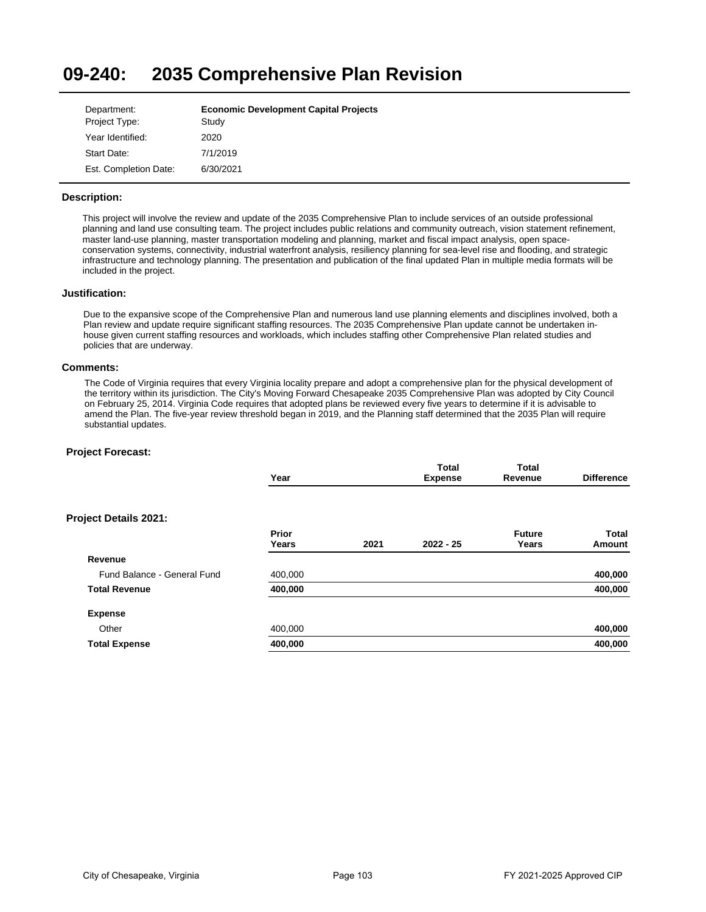#### **09-240: 2035 Comprehensive Plan Revision**

| Department:           | <b>Economic Development Capital Projects</b> |
|-----------------------|----------------------------------------------|
| Project Type:         | Study                                        |
| Year Identified:      | 2020                                         |
| Start Date:           | 7/1/2019                                     |
| Est. Completion Date: | 6/30/2021                                    |

## **Description:**

This project will involve the review and update of the 2035 Comprehensive Plan to include services of an outside professional planning and land use consulting team. The project includes public relations and community outreach, vision statement refinement, master land-use planning, master transportation modeling and planning, market and fiscal impact analysis, open spaceconservation systems, connectivity, industrial waterfront analysis, resiliency planning for sea-level rise and flooding, and strategic infrastructure and technology planning. The presentation and publication of the final updated Plan in multiple media formats will be included in the project.

## **Justification:**

Due to the expansive scope of the Comprehensive Plan and numerous land use planning elements and disciplines involved, both a Plan review and update require significant staffing resources. The 2035 Comprehensive Plan update cannot be undertaken inhouse given current staffing resources and workloads, which includes staffing other Comprehensive Plan related studies and policies that are underway.

### **Comments:**

The Code of Virginia requires that every Virginia locality prepare and adopt a comprehensive plan for the physical development of the territory within its jurisdiction. The City's Moving Forward Chesapeake 2035 Comprehensive Plan was adopted by City Council on February 25, 2014. Virginia Code requires that adopted plans be reviewed every five years to determine if it is advisable to amend the Plan. The five-year review threshold began in 2019, and the Planning staff determined that the 2035 Plan will require substantial updates.

|                              | Year           |      | Total<br><b>Expense</b> | <b>Total</b><br>Revenue | <b>Difference</b>      |
|------------------------------|----------------|------|-------------------------|-------------------------|------------------------|
| <b>Project Details 2021:</b> |                |      |                         |                         |                        |
|                              | Prior<br>Years | 2021 | $2022 - 25$             | <b>Future</b><br>Years  | <b>Total</b><br>Amount |
| Revenue                      |                |      |                         |                         |                        |
| Fund Balance - General Fund  | 400,000        |      |                         |                         | 400,000                |
| <b>Total Revenue</b>         | 400,000        |      |                         |                         | 400,000                |
| <b>Expense</b>               |                |      |                         |                         |                        |
| Other                        | 400,000        |      |                         |                         | 400,000                |
| <b>Total Expense</b>         | 400,000        |      |                         |                         | 400,000                |
|                              |                |      |                         |                         |                        |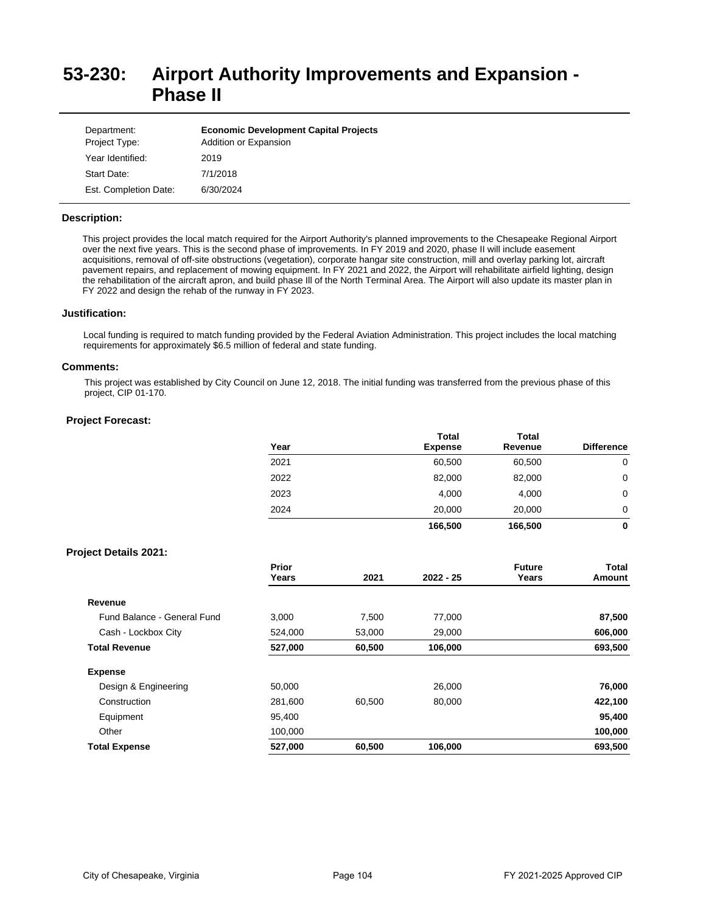# **53-230: Airport Authority Improvements and Expansion - Phase II**

| Department:<br>Project Type: | <b>Economic Development Capital Projects</b><br>Addition or Expansion |
|------------------------------|-----------------------------------------------------------------------|
| Year Identified:             | 2019                                                                  |
| Start Date:                  | 7/1/2018                                                              |
| Est. Completion Date:        | 6/30/2024                                                             |

### **Description:**

This project provides the local match required for the Airport Authority's planned improvements to the Chesapeake Regional Airport over the next five years. This is the second phase of improvements. In FY 2019 and 2020, phase II will include easement acquisitions, removal of off-site obstructions (vegetation), corporate hangar site construction, mill and overlay parking lot, aircraft pavement repairs, and replacement of mowing equipment. In FY 2021 and 2022, the Airport will rehabilitate airfield lighting, design the rehabilitation of the aircraft apron, and build phase Ill of the North Terminal Area. The Airport will also update its master plan in FY 2022 and design the rehab of the runway in FY 2023.

#### **Justification:**

Local funding is required to match funding provided by the Federal Aviation Administration. This project includes the local matching requirements for approximately \$6.5 million of federal and state funding.

#### **Comments:**

This project was established by City Council on June 12, 2018. The initial funding was transferred from the previous phase of this project, CIP 01-170.

|                              | Year           |        | <b>Total</b><br><b>Expense</b> | <b>Total</b><br>Revenue | <b>Difference</b>      |
|------------------------------|----------------|--------|--------------------------------|-------------------------|------------------------|
|                              | 2021           |        | 60,500                         | 60,500                  | 0                      |
|                              | 2022           |        | 82,000                         | 82,000                  | $\mathbf 0$            |
|                              | 2023           |        | 4,000                          | 4,000                   | 0                      |
|                              | 2024           |        | 20,000                         | 20,000                  | 0                      |
|                              |                |        | 166,500                        | 166,500                 | 0                      |
| <b>Project Details 2021:</b> |                |        |                                |                         |                        |
|                              | Prior<br>Years | 2021   | 2022 - 25                      | <b>Future</b><br>Years  | <b>Total</b><br>Amount |
| Revenue                      |                |        |                                |                         |                        |
| Fund Balance - General Fund  | 3,000          | 7,500  | 77,000                         |                         | 87,500                 |
| Cash - Lockbox City          | 524,000        | 53,000 | 29,000                         |                         | 606,000                |
| <b>Total Revenue</b>         | 527,000        | 60,500 | 106,000                        |                         | 693,500                |
| <b>Expense</b>               |                |        |                                |                         |                        |
| Design & Engineering         | 50,000         |        | 26,000                         |                         | 76,000                 |
| Construction                 | 281,600        | 60,500 | 80,000                         |                         | 422,100                |
| Equipment                    | 95,400         |        |                                |                         | 95,400                 |
| Other                        | 100,000        |        |                                |                         | 100,000                |
| <b>Total Expense</b>         | 527,000        | 60,500 | 106,000                        |                         | 693,500                |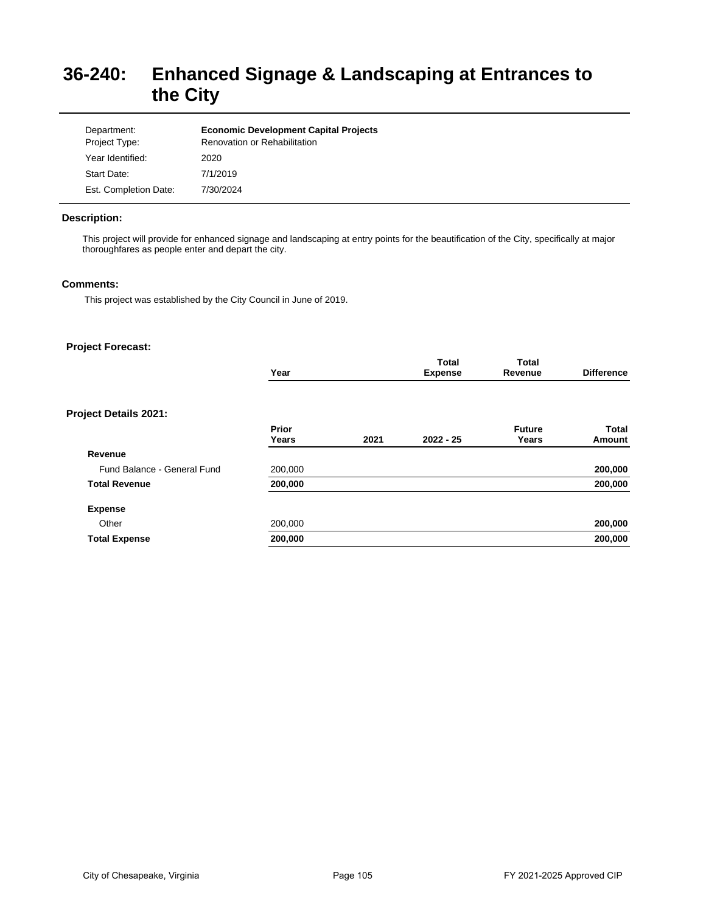# **36-240: Enhanced Signage & Landscaping at Entrances to the City**

| Department:<br>Project Type: | <b>Economic Development Capital Projects</b><br><b>Renovation or Rehabilitation</b> |
|------------------------------|-------------------------------------------------------------------------------------|
| Year Identified:             | 2020                                                                                |
| Start Date:                  | 7/1/2019                                                                            |
| Est. Completion Date:        | 7/30/2024                                                                           |

## **Description:**

This project will provide for enhanced signage and landscaping at entry points for the beautification of the City, specifically at major thoroughfares as people enter and depart the city.

## **Comments:**

This project was established by the City Council in June of 2019.

|                              | Year           |      | <b>Total</b><br><b>Expense</b> | <b>Total</b><br>Revenue | <b>Difference</b>      |
|------------------------------|----------------|------|--------------------------------|-------------------------|------------------------|
| <b>Project Details 2021:</b> |                |      |                                |                         |                        |
|                              | Prior<br>Years | 2021 | $2022 - 25$                    | <b>Future</b><br>Years  | <b>Total</b><br>Amount |
| Revenue                      |                |      |                                |                         |                        |
| Fund Balance - General Fund  | 200,000        |      |                                |                         | 200,000                |
| <b>Total Revenue</b>         | 200,000        |      |                                |                         | 200,000                |
| <b>Expense</b>               |                |      |                                |                         |                        |
| Other                        | 200,000        |      |                                |                         | 200,000                |
| <b>Total Expense</b>         | 200,000        |      |                                |                         | 200,000                |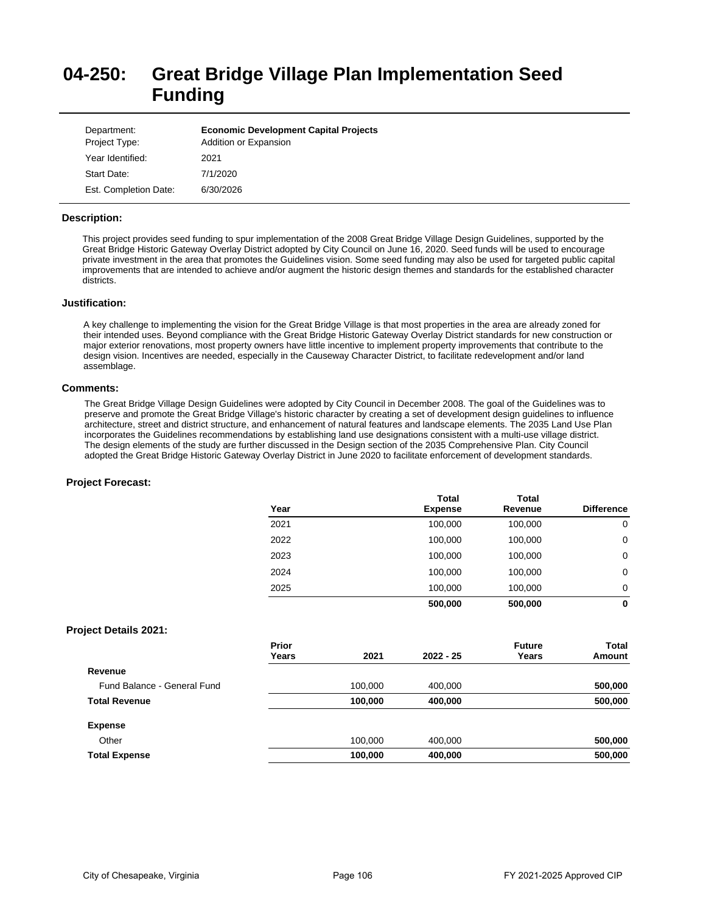# **04-250: Great Bridge Village Plan Implementation Seed Funding**

| Department:<br>Project Type: | <b>Economic Development Capital Projects</b><br>Addition or Expansion |
|------------------------------|-----------------------------------------------------------------------|
| Year Identified:             | 2021                                                                  |
| Start Date:                  | 7/1/2020                                                              |
| Est. Completion Date:        | 6/30/2026                                                             |

### **Description:**

This project provides seed funding to spur implementation of the 2008 Great Bridge Village Design Guidelines, supported by the Great Bridge Historic Gateway Overlay District adopted by City Council on June 16, 2020. Seed funds will be used to encourage private investment in the area that promotes the Guidelines vision. Some seed funding may also be used for targeted public capital improvements that are intended to achieve and/or augment the historic design themes and standards for the established character districts.

#### **Justification:**

A key challenge to implementing the vision for the Great Bridge Village is that most properties in the area are already zoned for their intended uses. Beyond compliance with the Great Bridge Historic Gateway Overlay District standards for new construction or major exterior renovations, most property owners have little incentive to implement property improvements that contribute to the design vision. Incentives are needed, especially in the Causeway Character District, to facilitate redevelopment and/or land assemblage.

## **Comments:**

The Great Bridge Village Design Guidelines were adopted by City Council in December 2008. The goal of the Guidelines was to preserve and promote the Great Bridge Village's historic character by creating a set of development design guidelines to influence architecture, street and district structure, and enhancement of natural features and landscape elements. The 2035 Land Use Plan incorporates the Guidelines recommendations by establishing land use designations consistent with a multi-use village district. The design elements of the study are further discussed in the Design section of the 2035 Comprehensive Plan. City Council adopted the Great Bridge Historic Gateway Overlay District in June 2020 to facilitate enforcement of development standards.

|                              | Year           |         | <b>Total</b><br><b>Expense</b> | <b>Total</b><br>Revenue | <b>Difference</b>      |
|------------------------------|----------------|---------|--------------------------------|-------------------------|------------------------|
|                              | 2021           |         | 100,000                        | 100,000                 | $\mathbf 0$            |
|                              | 2022           |         | 100,000                        | 100,000                 | $\mathbf 0$            |
|                              | 2023           |         | 100,000                        | 100,000                 | 0                      |
|                              | 2024           |         | 100,000                        | 100,000                 | 0                      |
|                              | 2025           |         | 100,000                        | 100,000                 | 0                      |
|                              |                |         | 500,000                        | 500,000                 | $\mathbf 0$            |
| <b>Project Details 2021:</b> |                |         |                                |                         |                        |
|                              | Prior<br>Years | 2021    | 2022 - 25                      | <b>Future</b><br>Years  | <b>Total</b><br>Amount |
| Revenue                      |                |         |                                |                         |                        |
| Fund Balance - General Fund  |                | 100,000 | 400,000                        |                         | 500,000                |
| <b>Total Revenue</b>         |                | 100,000 | 400,000                        |                         | 500,000                |
| <b>Expense</b>               |                |         |                                |                         |                        |
| Other                        |                | 100,000 | 400,000                        |                         | 500,000                |
| <b>Total Expense</b>         |                | 100,000 | 400,000                        |                         | 500,000                |
|                              |                |         |                                |                         |                        |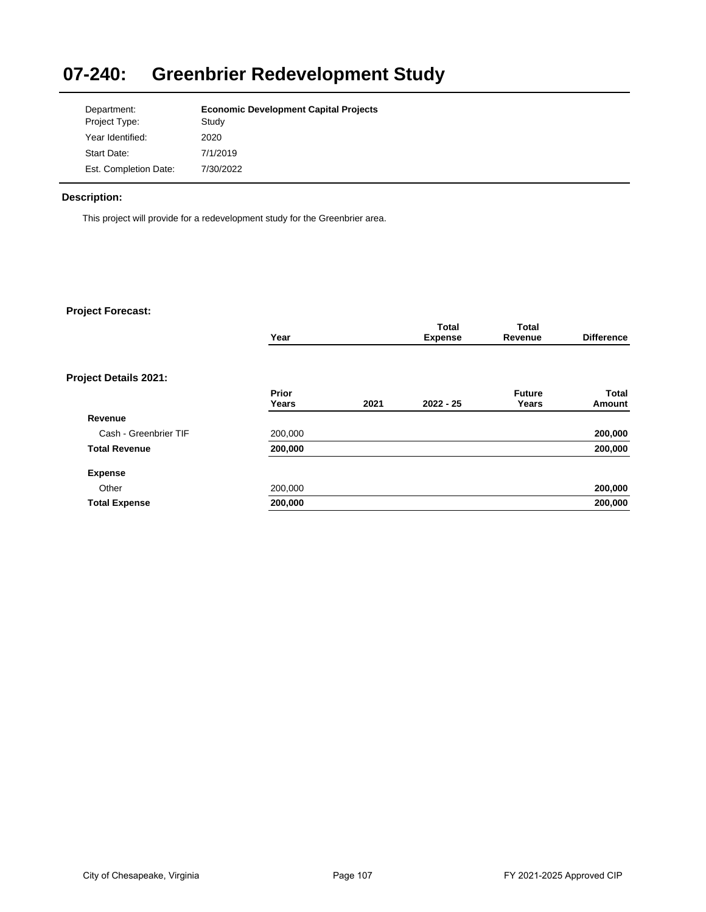# **07-240: Greenbrier Redevelopment Study**

| Department:           | <b>Economic Development Capital Projects</b> |
|-----------------------|----------------------------------------------|
| Project Type:         | Study                                        |
| Year Identified:      | 2020                                         |
| Start Date:           | 7/1/2019                                     |
| Est. Completion Date: | 7/30/2022                                    |

# **Description:**

This project will provide for a redevelopment study for the Greenbrier area.

|                       | Year    |      | <b>Total</b><br><b>Expense</b> | <b>Total</b><br>Revenue | <b>Difference</b> |
|-----------------------|---------|------|--------------------------------|-------------------------|-------------------|
|                       |         |      |                                |                         |                   |
| Project Details 2021: |         |      |                                |                         |                   |
|                       | Prior   |      |                                | <b>Future</b>           | <b>Total</b>      |
|                       | Years   | 2021 | $2022 - 25$                    | Years                   | Amount            |
| Revenue               |         |      |                                |                         |                   |
| Cash - Greenbrier TIF | 200,000 |      |                                |                         | 200,000           |
| <b>Total Revenue</b>  | 200,000 |      |                                |                         | 200,000           |
| <b>Expense</b>        |         |      |                                |                         |                   |
| Other                 | 200,000 |      |                                |                         | 200,000           |
| <b>Total Expense</b>  | 200,000 |      |                                |                         | 200,000           |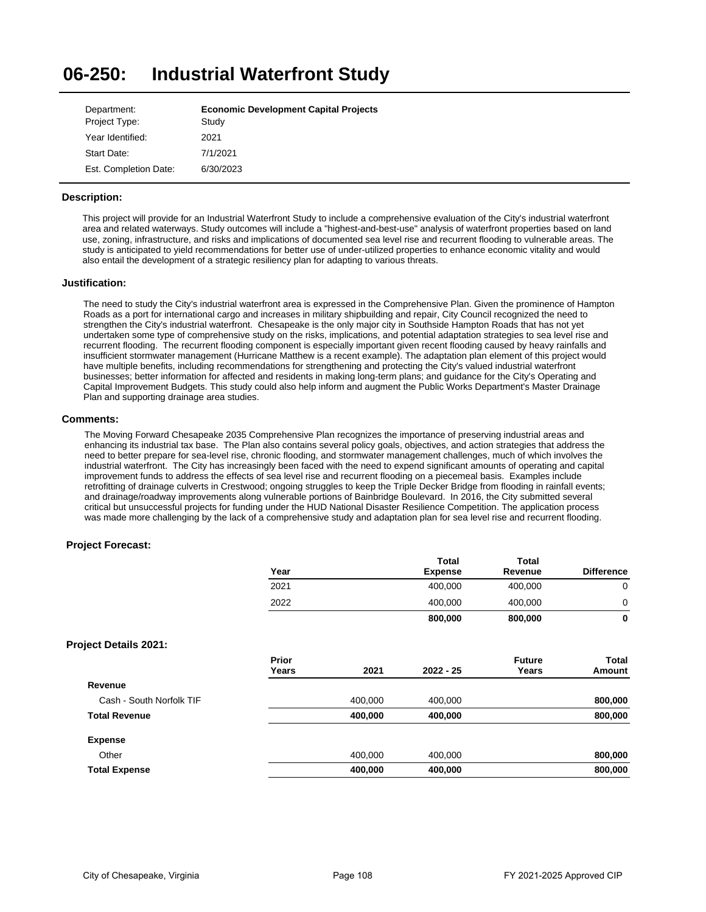#### **06-250: Industrial Waterfront Study**

| Department:           | <b>Economic Development Capital Projects</b> |
|-----------------------|----------------------------------------------|
| Project Type:         | Study                                        |
| Year Identified:      | 2021                                         |
| Start Date:           | 7/1/2021                                     |
| Est. Completion Date: | 6/30/2023                                    |

## **Description:**

This project will provide for an Industrial Waterfront Study to include a comprehensive evaluation of the City's industrial waterfront area and related waterways. Study outcomes will include a "highest-and-best-use" analysis of waterfront properties based on land use, zoning, infrastructure, and risks and implications of documented sea level rise and recurrent flooding to vulnerable areas. The study is anticipated to yield recommendations for better use of under-utilized properties to enhance economic vitality and would also entail the development of a strategic resiliency plan for adapting to various threats.

### **Justification:**

The need to study the City's industrial waterfront area is expressed in the Comprehensive Plan. Given the prominence of Hampton Roads as a port for international cargo and increases in military shipbuilding and repair, City Council recognized the need to strengthen the City's industrial waterfront. Chesapeake is the only major city in Southside Hampton Roads that has not yet undertaken some type of comprehensive study on the risks, implications, and potential adaptation strategies to sea level rise and recurrent flooding. The recurrent flooding component is especially important given recent flooding caused by heavy rainfalls and insufficient stormwater management (Hurricane Matthew is a recent example). The adaptation plan element of this project would have multiple benefits, including recommendations for strengthening and protecting the City's valued industrial waterfront businesses; better information for affected and residents in making long-term plans; and guidance for the City's Operating and Capital Improvement Budgets. This study could also help inform and augment the Public Works Department's Master Drainage Plan and supporting drainage area studies.

#### **Comments:**

The Moving Forward Chesapeake 2035 Comprehensive Plan recognizes the importance of preserving industrial areas and enhancing its industrial tax base. The Plan also contains several policy goals, objectives, and action strategies that address the need to better prepare for sea-level rise, chronic flooding, and stormwater management challenges, much of which involves the industrial waterfront. The City has increasingly been faced with the need to expend significant amounts of operating and capital improvement funds to address the effects of sea level rise and recurrent flooding on a piecemeal basis. Examples include retrofitting of drainage culverts in Crestwood; ongoing struggles to keep the Triple Decker Bridge from flooding in rainfall events; and drainage/roadway improvements along vulnerable portions of Bainbridge Boulevard. In 2016, the City submitted several critical but unsuccessful projects for funding under the HUD National Disaster Resilience Competition. The application process was made more challenging by the lack of a comprehensive study and adaptation plan for sea level rise and recurrent flooding.

|                              | Year  |         | Total<br><b>Expense</b> | Total<br>Revenue | <b>Difference</b> |
|------------------------------|-------|---------|-------------------------|------------------|-------------------|
|                              | 2021  |         | 400,000                 | 400,000          | $\mathbf 0$       |
|                              | 2022  |         | 400,000                 | 400,000          | $\mathbf 0$       |
|                              |       |         | 800,000                 | 800,000          | $\mathbf 0$       |
| <b>Project Details 2021:</b> |       |         |                         |                  |                   |
|                              | Prior |         |                         | <b>Future</b>    | Total             |
|                              | Years | 2021    | $2022 - 25$             | Years            | Amount            |
| Revenue                      |       |         |                         |                  |                   |
| Cash - South Norfolk TIF     |       | 400,000 | 400,000                 |                  | 800,000           |
| <b>Total Revenue</b>         |       | 400,000 | 400,000                 |                  | 800,000           |
| <b>Expense</b>               |       |         |                         |                  |                   |
| Other                        |       | 400,000 | 400,000                 |                  | 800,000           |
| <b>Total Expense</b>         |       | 400,000 | 400,000                 |                  | 800,000           |
|                              |       |         |                         |                  |                   |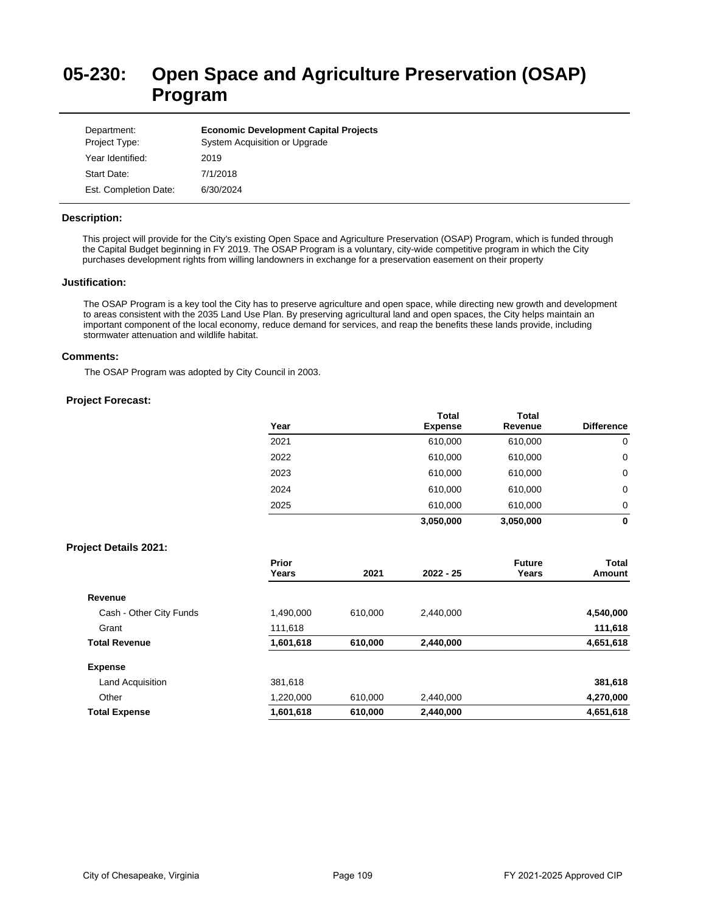# **05-230: Open Space and Agriculture Preservation (OSAP) Program**

| Department:<br>Project Type: | <b>Economic Development Capital Projects</b><br>System Acquisition or Upgrade |
|------------------------------|-------------------------------------------------------------------------------|
| Year Identified:             | 2019                                                                          |
| Start Date:                  | 7/1/2018                                                                      |
| Est. Completion Date:        | 6/30/2024                                                                     |

## **Description:**

This project will provide for the City's existing Open Space and Agriculture Preservation (OSAP) Program, which is funded through the Capital Budget beginning in FY 2019. The OSAP Program is a voluntary, city-wide competitive program in which the City purchases development rights from willing landowners in exchange for a preservation easement on their property

## **Justification:**

The OSAP Program is a key tool the City has to preserve agriculture and open space, while directing new growth and development to areas consistent with the 2035 Land Use Plan. By preserving agricultural land and open spaces, the City helps maintain an important component of the local economy, reduce demand for services, and reap the benefits these lands provide, including stormwater attenuation and wildlife habitat.

### **Comments:**

The OSAP Program was adopted by City Council in 2003.

## **Project Forecast:**

| Year | <b>Total</b><br><b>Expense</b> | <b>Total</b><br>Revenue | <b>Difference</b> |
|------|--------------------------------|-------------------------|-------------------|
| 2021 | 610,000                        | 610,000                 | 0                 |
| 2022 | 610,000                        | 610,000                 | 0                 |
| 2023 | 610,000                        | 610,000                 | 0                 |
| 2024 | 610,000                        | 610,000                 | 0                 |
| 2025 | 610,000                        | 610,000                 | $\Omega$          |
|      | 3,050,000                      | 3,050,000               | 0                 |

## **Project Details 2021:**

|                         | Prior     |         |             | <b>Future</b> | Total     |
|-------------------------|-----------|---------|-------------|---------------|-----------|
|                         | Years     | 2021    | $2022 - 25$ | Years         | Amount    |
| Revenue                 |           |         |             |               |           |
| Cash - Other City Funds | 1,490,000 | 610.000 | 2.440.000   |               | 4,540,000 |
| Grant                   | 111,618   |         |             |               | 111,618   |
| <b>Total Revenue</b>    | 1,601,618 | 610,000 | 2,440,000   |               | 4,651,618 |
| <b>Expense</b>          |           |         |             |               |           |
| Land Acquisition        | 381.618   |         |             |               | 381,618   |
| Other                   | 1,220,000 | 610.000 | 2.440.000   |               | 4,270,000 |
| <b>Total Expense</b>    | 1,601,618 | 610,000 | 2,440,000   |               | 4,651,618 |
|                         |           |         |             |               |           |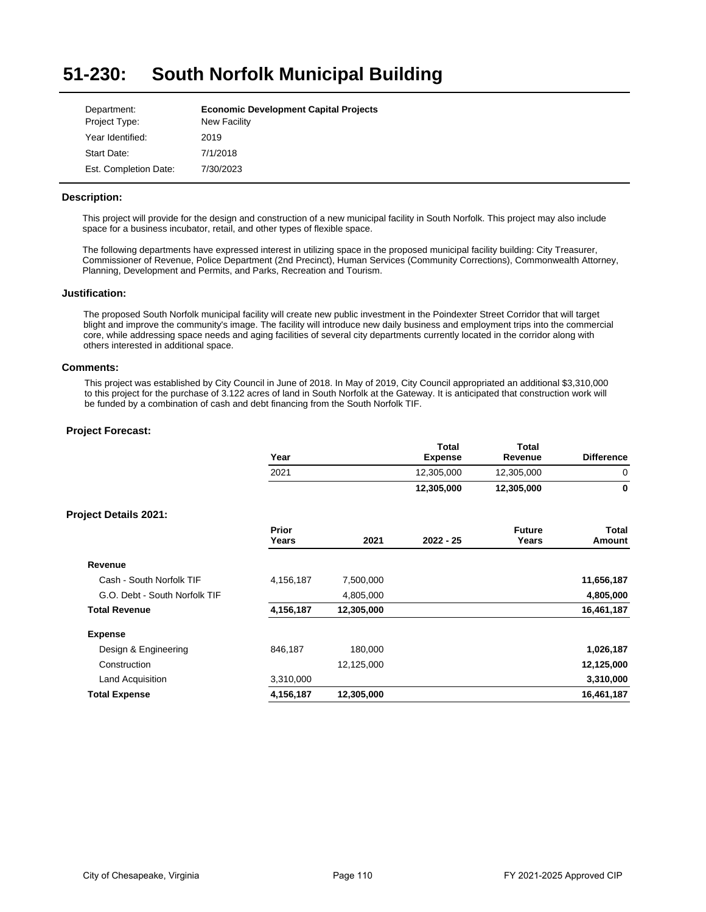#### **51-230: South Norfolk Municipal Building**

| Department:           | <b>Economic Development Capital Projects</b> |
|-----------------------|----------------------------------------------|
| Project Type:         | New Facility                                 |
| Year Identified:      | 2019                                         |
| Start Date:           | 7/1/2018                                     |
| Est. Completion Date: | 7/30/2023                                    |

## **Description:**

This project will provide for the design and construction of a new municipal facility in South Norfolk. This project may also include space for a business incubator, retail, and other types of flexible space.

The following departments have expressed interest in utilizing space in the proposed municipal facility building: City Treasurer, Commissioner of Revenue, Police Department (2nd Precinct), Human Services (Community Corrections), Commonwealth Attorney, Planning, Development and Permits, and Parks, Recreation and Tourism.

## **Justification:**

The proposed South Norfolk municipal facility will create new public investment in the Poindexter Street Corridor that will target blight and improve the community's image. The facility will introduce new daily business and employment trips into the commercial core, while addressing space needs and aging facilities of several city departments currently located in the corridor along with others interested in additional space.

## **Comments:**

This project was established by City Council in June of 2018. In May of 2019, City Council appropriated an additional \$3,310,000 to this project for the purchase of 3.122 acres of land in South Norfolk at the Gateway. It is anticipated that construction work will be funded by a combination of cash and debt financing from the South Norfolk TIF.

|                               | Year           |            | <b>Total</b><br><b>Expense</b> | Total<br>Revenue       | <b>Difference</b> |
|-------------------------------|----------------|------------|--------------------------------|------------------------|-------------------|
|                               | 2021           |            | 12,305,000                     | 12,305,000             | 0                 |
|                               |                |            | 12,305,000                     | 12,305,000             | 0                 |
| <b>Project Details 2021:</b>  |                |            |                                |                        |                   |
|                               | Prior<br>Years | 2021       | $2022 - 25$                    | <b>Future</b><br>Years | Total<br>Amount   |
| Revenue                       |                |            |                                |                        |                   |
| Cash - South Norfolk TIF      | 4,156,187      | 7,500,000  |                                |                        | 11,656,187        |
| G.O. Debt - South Norfolk TIF |                | 4,805,000  |                                |                        | 4,805,000         |
| <b>Total Revenue</b>          | 4,156,187      | 12,305,000 |                                |                        | 16,461,187        |
| <b>Expense</b>                |                |            |                                |                        |                   |
| Design & Engineering          | 846,187        | 180,000    |                                |                        | 1,026,187         |
| Construction                  |                | 12,125,000 |                                |                        | 12,125,000        |
| Land Acquisition              | 3,310,000      |            |                                |                        | 3,310,000         |
| <b>Total Expense</b>          | 4,156,187      | 12,305,000 |                                |                        | 16,461,187        |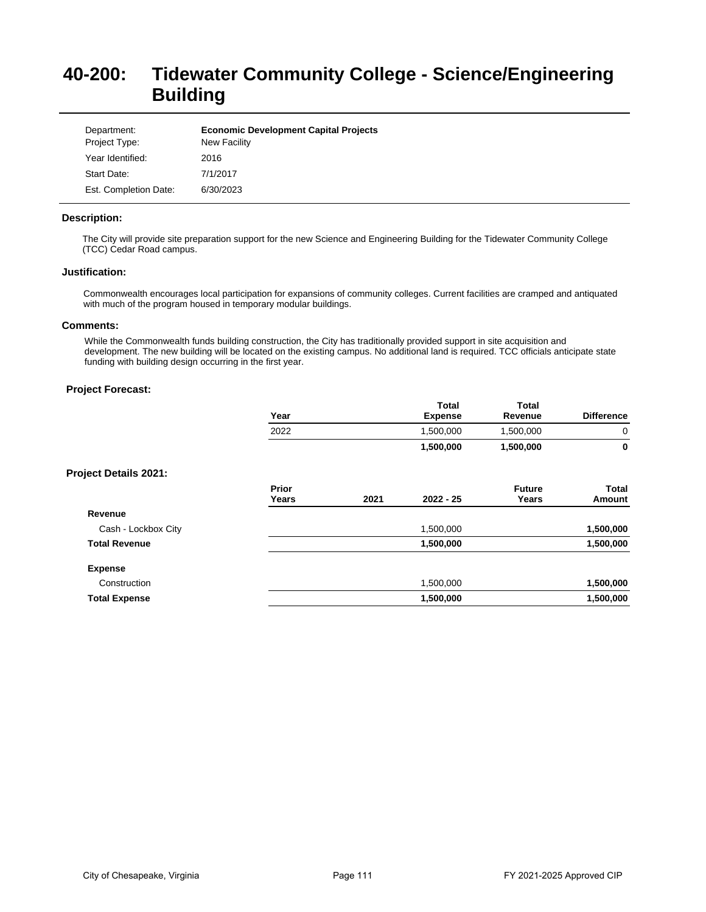# **40-200: Tidewater Community College - Science/Engineering Building**

| Department:<br>Project Type: | <b>Economic Development Capital Projects</b><br><b>New Facility</b> |
|------------------------------|---------------------------------------------------------------------|
| Year Identified:             | 2016                                                                |
| Start Date:                  | 7/1/2017                                                            |
| Est. Completion Date:        | 6/30/2023                                                           |

## **Description:**

The City will provide site preparation support for the new Science and Engineering Building for the Tidewater Community College (TCC) Cedar Road campus.

## **Justification:**

Commonwealth encourages local participation for expansions of community colleges. Current facilities are cramped and antiquated with much of the program housed in temporary modular buildings.

## **Comments:**

While the Commonwealth funds building construction, the City has traditionally provided support in site acquisition and development. The new building will be located on the existing campus. No additional land is required. TCC officials anticipate state funding with building design occurring in the first year.

|                              | Year           |      | <b>Total</b><br><b>Expense</b> | <b>Total</b><br>Revenue | <b>Difference</b>      |
|------------------------------|----------------|------|--------------------------------|-------------------------|------------------------|
|                              | 2022           |      | 1,500,000                      | 1,500,000               | $\mathbf 0$            |
|                              |                |      | 1,500,000                      | 1,500,000               | 0                      |
| <b>Project Details 2021:</b> |                |      |                                |                         |                        |
|                              | Prior<br>Years | 2021 | $2022 - 25$                    | <b>Future</b><br>Years  | <b>Total</b><br>Amount |
| Revenue                      |                |      |                                |                         |                        |
| Cash - Lockbox City          |                |      | 1,500,000                      |                         | 1,500,000              |
| <b>Total Revenue</b>         |                |      | 1,500,000                      |                         | 1,500,000              |
| <b>Expense</b>               |                |      |                                |                         |                        |
| Construction                 |                |      | 1,500,000                      |                         | 1,500,000              |
| <b>Total Expense</b>         |                |      | 1,500,000                      |                         | 1,500,000              |